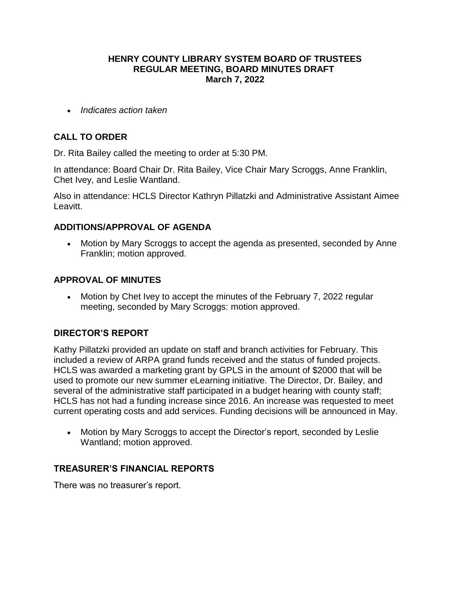### **HENRY COUNTY LIBRARY SYSTEM BOARD OF TRUSTEES REGULAR MEETING, BOARD MINUTES DRAFT March 7, 2022**

*Indicates action taken*

# **CALL TO ORDER**

Dr. Rita Bailey called the meeting to order at 5:30 PM.

In attendance: Board Chair Dr. Rita Bailey, Vice Chair Mary Scroggs, Anne Franklin, Chet Ivey, and Leslie Wantland.

Also in attendance: HCLS Director Kathryn Pillatzki and Administrative Assistant Aimee Leavitt.

## **ADDITIONS/APPROVAL OF AGENDA**

 Motion by Mary Scroggs to accept the agenda as presented, seconded by Anne Franklin; motion approved.

## **APPROVAL OF MINUTES**

• Motion by Chet Ivey to accept the minutes of the February 7, 2022 regular meeting, seconded by Mary Scroggs: motion approved.

## **DIRECTOR'S REPORT**

Kathy Pillatzki provided an update on staff and branch activities for February. This included a review of ARPA grand funds received and the status of funded projects. HCLS was awarded a marketing grant by GPLS in the amount of \$2000 that will be used to promote our new summer eLearning initiative. The Director, Dr. Bailey, and several of the administrative staff participated in a budget hearing with county staff; HCLS has not had a funding increase since 2016. An increase was requested to meet current operating costs and add services. Funding decisions will be announced in May.

 Motion by Mary Scroggs to accept the Director's report, seconded by Leslie Wantland; motion approved.

#### **TREASURER'S FINANCIAL REPORTS**

There was no treasurer's report.